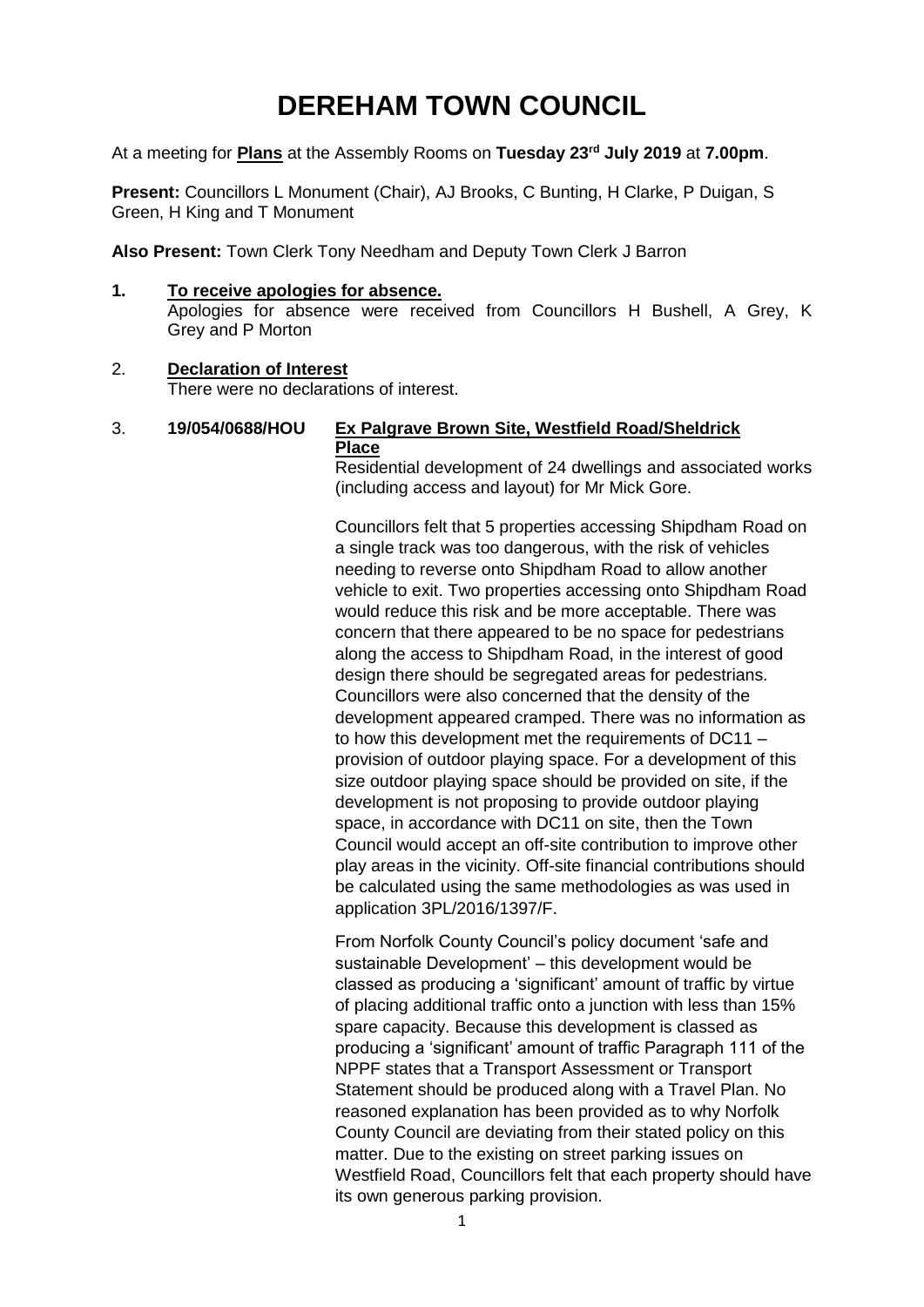# **DEREHAM TOWN COUNCIL**

At a meeting for **Plans** at the Assembly Rooms on **Tuesday 23rd July 2019** at **7.00pm**.

**Present:** Councillors L Monument (Chair), AJ Brooks, C Bunting, H Clarke, P Duigan, S Green, H King and T Monument

**Also Present:** Town Clerk Tony Needham and Deputy Town Clerk J Barron

### **1. To receive apologies for absence.**

Apologies for absence were received from Councillors H Bushell, A Grey, K Grey and P Morton

#### 2. **Declaration of Interest** There were no declarations of interest.

## 3. **19/054/0688/HOU Ex Palgrave Brown Site, Westfield Road/Sheldrick Place**

Residential development of 24 dwellings and associated works (including access and layout) for Mr Mick Gore.

Councillors felt that 5 properties accessing Shipdham Road on a single track was too dangerous, with the risk of vehicles needing to reverse onto Shipdham Road to allow another vehicle to exit. Two properties accessing onto Shipdham Road would reduce this risk and be more acceptable. There was concern that there appeared to be no space for pedestrians along the access to Shipdham Road, in the interest of good design there should be segregated areas for pedestrians. Councillors were also concerned that the density of the development appeared cramped. There was no information as to how this development met the requirements of DC11 – provision of outdoor playing space. For a development of this size outdoor playing space should be provided on site, if the development is not proposing to provide outdoor playing space, in accordance with DC11 on site, then the Town Council would accept an off-site contribution to improve other play areas in the vicinity. Off-site financial contributions should be calculated using the same methodologies as was used in application 3PL/2016/1397/F.

From Norfolk County Council's policy document 'safe and sustainable Development' – this development would be classed as producing a 'significant' amount of traffic by virtue of placing additional traffic onto a junction with less than 15% spare capacity. Because this development is classed as producing a 'significant' amount of traffic Paragraph 111 of the NPPF states that a Transport Assessment or Transport Statement should be produced along with a Travel Plan. No reasoned explanation has been provided as to why Norfolk County Council are deviating from their stated policy on this matter. Due to the existing on street parking issues on Westfield Road, Councillors felt that each property should have its own generous parking provision.